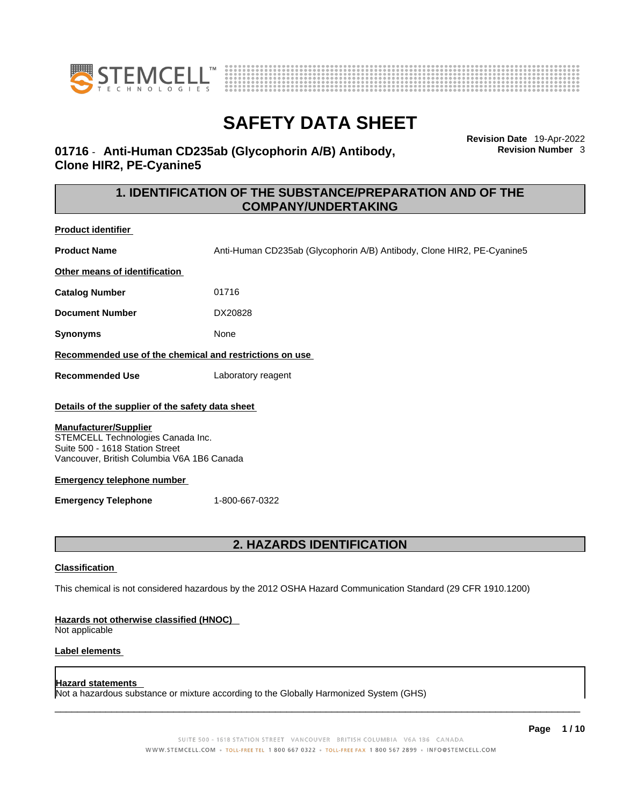



**Revision Date** 19-Apr-2022 **Revision Number** 3

### **01716** - **Anti-Human CD235ab (Glycophorin A/B) Antibody, Clone HIR2, PE-Cyanine5**

### **1. IDENTIFICATION OF THE SUBSTANCE/PREPARATION AND OF THE COMPANY/UNDERTAKING**

| Product identifier                                                                                                                                                                                                                                                                          |                                                                        |  |
|---------------------------------------------------------------------------------------------------------------------------------------------------------------------------------------------------------------------------------------------------------------------------------------------|------------------------------------------------------------------------|--|
| <b>Product Name</b>                                                                                                                                                                                                                                                                         | Anti-Human CD235ab (Glycophorin A/B) Antibody, Clone HIR2, PE-Cyanine5 |  |
| Other means of identification                                                                                                                                                                                                                                                               |                                                                        |  |
| <b>Catalog Number</b>                                                                                                                                                                                                                                                                       | 01716                                                                  |  |
| <b>Document Number</b>                                                                                                                                                                                                                                                                      | DX20828                                                                |  |
| Synonyms                                                                                                                                                                                                                                                                                    | None                                                                   |  |
| Recommended use of the chemical and restrictions on use                                                                                                                                                                                                                                     |                                                                        |  |
| <b>Recommended Use</b>                                                                                                                                                                                                                                                                      | Laboratory reagent                                                     |  |
| Details of the supplier of the safety data sheet<br><b>Manufacturer/Supplier</b><br>STEMCELL Technologies Canada Inc.<br>Suite 500 - 1618 Station Street<br>Vancouver, British Columbia V6A 1B6 Canada<br><b>Emergency telephone number</b><br><b>Emergency Telephone</b><br>1-800-667-0322 |                                                                        |  |
| <b>2. HAZARDS IDENTIFICATION</b>                                                                                                                                                                                                                                                            |                                                                        |  |
| <b>Classification</b>                                                                                                                                                                                                                                                                       |                                                                        |  |
| This chemical is not considered hazardous by the 2012 OSHA Hazard Communication Standard (29 CFR 1910.1200)                                                                                                                                                                                 |                                                                        |  |
| Hazards not otherwise classified (HNOC)<br>Not applicable                                                                                                                                                                                                                                   |                                                                        |  |

#### **Label elements**

#### **Hazard statements**

Not a hazardous substance or mixture according to the Globally Harmonized System (GHS)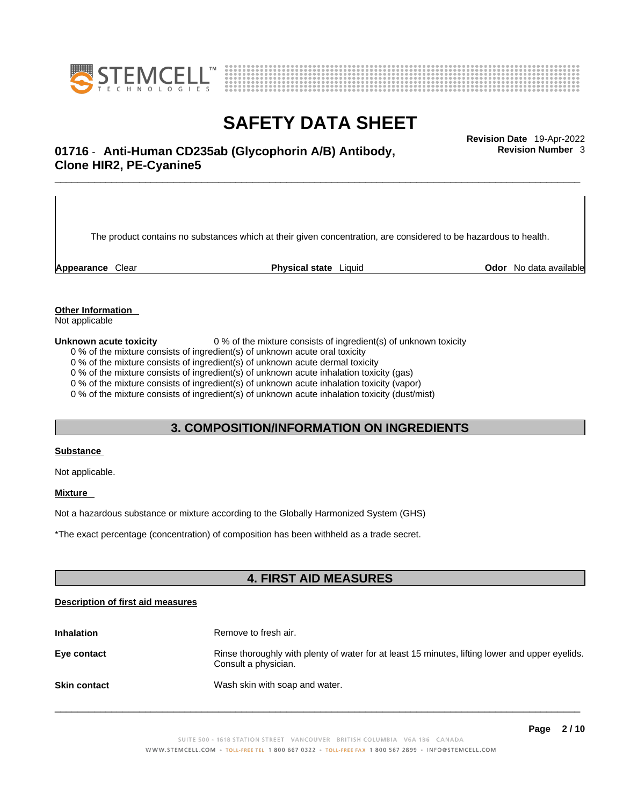



# \_\_\_\_\_\_\_\_\_\_\_\_\_\_\_\_\_\_\_\_\_\_\_\_\_\_\_\_\_\_\_\_\_\_\_\_\_\_\_\_\_\_\_\_\_\_\_\_\_\_\_\_\_\_\_\_\_\_\_\_\_\_\_\_\_\_\_\_\_\_\_\_\_\_\_\_\_\_\_\_\_\_\_\_\_\_\_\_\_\_\_\_\_ **Revision Date** 19-Apr-2022 **01716** - **Anti-Human CD235ab (Glycophorin A/B) Antibody, Clone HIR2, PE-Cyanine5**

The product contains no substances which at their given concentration, are considered to be hazardous to health.

**Appearance** Clear **Physical state** Liquid **Odor** No data available

**Revision Number** 3

**Other Information** 

Not applicable

**Unknown acute toxicity** 0 % of the mixture consists of ingredient(s) of unknown toxicity

0 % of the mixture consists of ingredient(s) of unknown acute oral toxicity

0 % of the mixture consists of ingredient(s) of unknown acute dermal toxicity

0 % of the mixture consists of ingredient(s) of unknown acute inhalation toxicity (gas)

0 % of the mixture consists of ingredient(s) of unknown acute inhalation toxicity (vapor)

0 % of the mixture consists of ingredient(s) of unknown acute inhalation toxicity (dust/mist)

#### **3. COMPOSITION/INFORMATION ON INGREDIENTS**

#### **Substance**

Not applicable.

#### **Mixture**

Not a hazardous substance or mixture according to the Globally Harmonized System (GHS)

\*The exact percentage (concentration) ofcomposition has been withheld as a trade secret.

#### **4. FIRST AID MEASURES**

#### **Description of first aid measures**

| <b>Inhalation</b>   | Remove to fresh air.                                                                                                    |
|---------------------|-------------------------------------------------------------------------------------------------------------------------|
| Eye contact         | Rinse thoroughly with plenty of water for at least 15 minutes, lifting lower and upper eyelids.<br>Consult a physician. |
| <b>Skin contact</b> | Wash skin with soap and water.                                                                                          |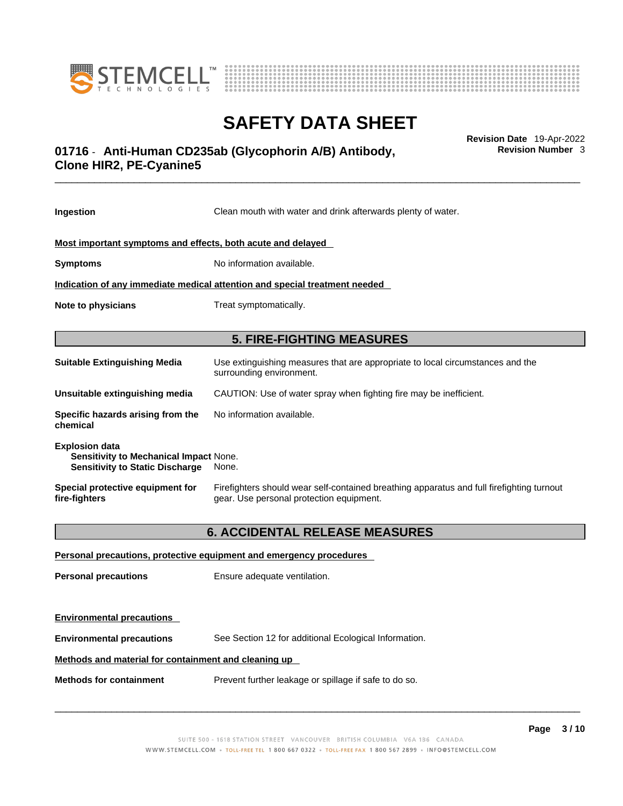



# \_\_\_\_\_\_\_\_\_\_\_\_\_\_\_\_\_\_\_\_\_\_\_\_\_\_\_\_\_\_\_\_\_\_\_\_\_\_\_\_\_\_\_\_\_\_\_\_\_\_\_\_\_\_\_\_\_\_\_\_\_\_\_\_\_\_\_\_\_\_\_\_\_\_\_\_\_\_\_\_\_\_\_\_\_\_\_\_\_\_\_\_\_ **Revision Date** 19-Apr-2022 **01716** - **Anti-Human CD235ab (Glycophorin A/B) Antibody, Clone HIR2, PE-Cyanine5**

**Ingestion** Clean mouth with water and drink afterwards plenty of water. **Most important symptoms and effects, both acute and delayed Symptoms** No information available. **Indication of any immediate medical attention and special treatment needed Note to physicians** Treat symptomatically. **5. FIRE-FIGHTING MEASURES Suitable Extinguishing Media** Use extinguishing measures that are appropriate to local circumstances and the surrounding environment. **Unsuitable extinguishing media** CAUTION: Use of water spray when fighting fire may be inefficient. **Specific hazards arising from the chemical** No information available. **Explosion data Sensitivity to Mechanical Impact** None. **Sensitivity to Static Discharge** None. **Special protective equipment for fire-fighters** Firefighters should wear self-contained breathing apparatus and full firefighting turnout gear. Use personal protection equipment. **6. ACCIDENTAL RELEASE MEASURES Personal precautions, protective equipment and emergency procedures Personal precautions** Ensure adequate ventilation.

**Environmental precautions Environmental precautions** See Section 12 for additional Ecological Information. **Methods and material for containment and cleaning up**

**Methods for containment** Prevent further leakage or spillage if safe to do so.

 $\_$  ,  $\_$  ,  $\_$  ,  $\_$  ,  $\_$  ,  $\_$  ,  $\_$  ,  $\_$  ,  $\_$  ,  $\_$  ,  $\_$  ,  $\_$  ,  $\_$  ,  $\_$  ,  $\_$  ,  $\_$  ,  $\_$  ,  $\_$  ,  $\_$  ,  $\_$  ,  $\_$  ,  $\_$  ,  $\_$  ,  $\_$  ,  $\_$  ,  $\_$  ,  $\_$  ,  $\_$  ,  $\_$  ,  $\_$  ,  $\_$  ,  $\_$  ,  $\_$  ,  $\_$  ,  $\_$  ,  $\_$  ,  $\_$  ,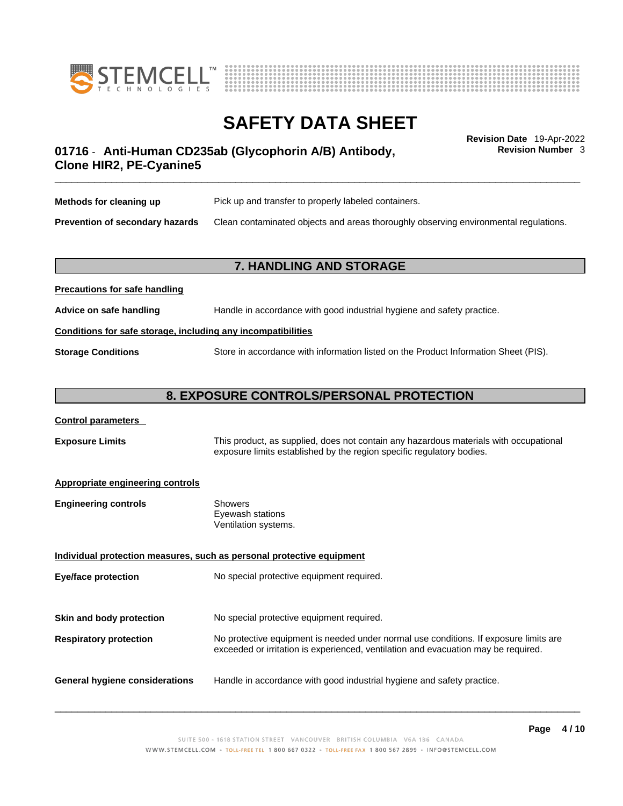



**Revision Number** 3

# \_\_\_\_\_\_\_\_\_\_\_\_\_\_\_\_\_\_\_\_\_\_\_\_\_\_\_\_\_\_\_\_\_\_\_\_\_\_\_\_\_\_\_\_\_\_\_\_\_\_\_\_\_\_\_\_\_\_\_\_\_\_\_\_\_\_\_\_\_\_\_\_\_\_\_\_\_\_\_\_\_\_\_\_\_\_\_\_\_\_\_\_\_ **Revision Date** 19-Apr-2022 **01716** - **Anti-Human CD235ab (Glycophorin A/B) Antibody, Clone HIR2, PE-Cyanine5**

| Methods for cleaning up                | Pick up and transfer to properly labeled containers.                                 |
|----------------------------------------|--------------------------------------------------------------------------------------|
| <b>Prevention of secondary hazards</b> | Clean contaminated objects and areas thoroughly observing environmental regulations. |

#### **7. HANDLING AND STORAGE**

# **Precautions for safe handling Advice on safe handling** Handle in accordance with good industrial hygiene and safety practice. **Conditions for safe storage, including any incompatibilities Storage Conditions** Store in accordance with information listed on the Product Information Sheet (PIS).

#### **8. EXPOSURE CONTROLS/PERSONAL PROTECTION**

#### **Control parameters**

**Exposure Limits** This product, as supplied, does not contain any hazardous materials with occupational exposure limits established by the region specific regulatory bodies.

#### **Appropriate engineering controls**

| Showers              |
|----------------------|
| Eyewash stations     |
| Ventilation systems. |
|                      |

**Individual protection measures, such as personal protective equipment Eye/face protection** No special protective equipment required. **Skin and body protection** No special protective equipment required. **Respiratory protection** No protective equipment is needed under normal use conditions. If exposure limits are exceeded or irritation is experienced, ventilation and evacuation may be required. **General hygiene considerations** Handle in accordance with good industrial hygiene and safety practice.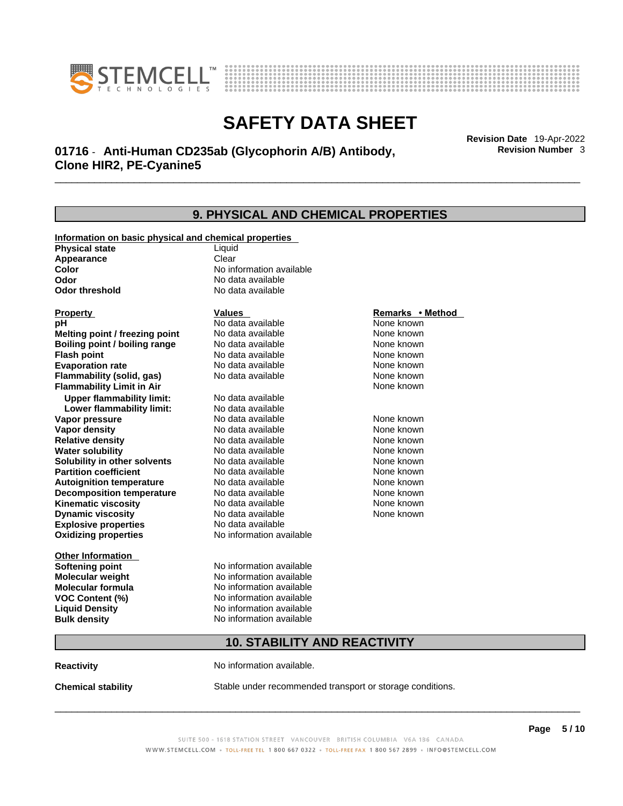



# \_\_\_\_\_\_\_\_\_\_\_\_\_\_\_\_\_\_\_\_\_\_\_\_\_\_\_\_\_\_\_\_\_\_\_\_\_\_\_\_\_\_\_\_\_\_\_\_\_\_\_\_\_\_\_\_\_\_\_\_\_\_\_\_\_\_\_\_\_\_\_\_\_\_\_\_\_\_\_\_\_\_\_\_\_\_\_\_\_\_\_\_\_ **Revision Date** 19-Apr-2022 **01716** - **Anti-Human CD235ab (Glycophorin A/B) Antibody, Clone HIR2, PE-Cyanine5**

**9. PHYSICAL AND CHEMICAL PROPERTIES Information on basic physical and chemical properties Physical state** Liquid **Appearance** Clear<br> **Color** No int **Color Color Color Color Color Color Color No** data available **Odor Odor Constanting Codor Constanting Codor Codor Codor Codor Codor Codor Codor Codor Codor Codor Codor Codor Codor Codor Codor Codor Codor Codor Codor Codor Codor Codor Codor No data available Explosive properties** No data available **Oxidizing properties** No information available **Other Information Softening point** No information available **Molecular weight** No information available **Molecular formula** No information available<br>**VOC Content (%)** No information available **VOC Content (%) Liquid Density** No information available **Bulk density No information available 10. STABILITY AND REACTIVITY Property CONSIDERENT CONSIDERENT Values CONSIDERENT CONSIDERENT CONSIDERENT CONSIDERENT CONSIDERENT CONSIDERENT CONSIDERENT CONSIDERENT CONSIDERENT CONSIDERED VALUES pH** No data available None known **Melting point / freezing point Boiling point / boiling range Modata available None known Flash point Communist Communist Communist Communist Communist Communist Communist Communist Communist Communist Communist Communist Communist Communist Communist Communist Communist Communist Communist Communist Communi Evaporation rate No data available None known Flammability (solid, gas)** No data available None known **Flammability Limit in Air** None known **Upper flammability limit:** No data available **Lower flammability limit:** No data available **Vapor pressure No data available None known Vapor density No data available None known Relative density No data available None known** None known **Water solubility No data available** Mome known<br> **Solubility in other solvents** No data available **None known**<br>
None known **Solubility in other solvents** No data available **None known**<br> **Partition coefficient** No data available None known **Partition coefficient**<br>**Autoignition temperature** No data available **Autoignition temperature** Mo data available Mone known<br> **Decomposition temperature** No data available None known **Decomposition temperature** No data available None known<br> **Kinematic viscosity** No data available None known **Kinematic viscosity No data available None known**<br> **None known**<br>
No data available **None known**<br>
None known **Dynamic** viscosity None known

**Reactivity No information available.** 

**Chemical stability** Stable under recommended transport or storage conditions.

 $\_$  ,  $\_$  ,  $\_$  ,  $\_$  ,  $\_$  ,  $\_$  ,  $\_$  ,  $\_$  ,  $\_$  ,  $\_$  ,  $\_$  ,  $\_$  ,  $\_$  ,  $\_$  ,  $\_$  ,  $\_$  ,  $\_$  ,  $\_$  ,  $\_$  ,  $\_$  ,  $\_$  ,  $\_$  ,  $\_$  ,  $\_$  ,  $\_$  ,  $\_$  ,  $\_$  ,  $\_$  ,  $\_$  ,  $\_$  ,  $\_$  ,  $\_$  ,  $\_$  ,  $\_$  ,  $\_$  ,  $\_$  ,  $\_$  ,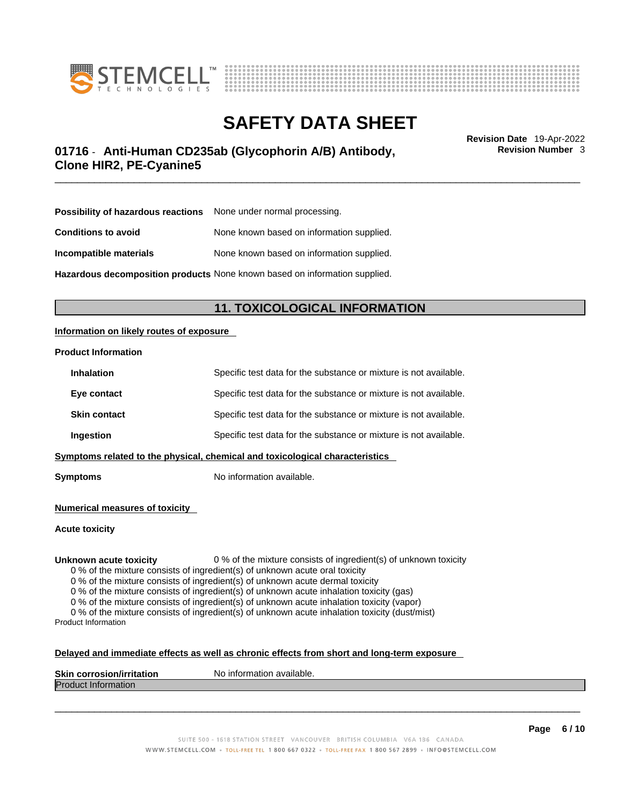



# \_\_\_\_\_\_\_\_\_\_\_\_\_\_\_\_\_\_\_\_\_\_\_\_\_\_\_\_\_\_\_\_\_\_\_\_\_\_\_\_\_\_\_\_\_\_\_\_\_\_\_\_\_\_\_\_\_\_\_\_\_\_\_\_\_\_\_\_\_\_\_\_\_\_\_\_\_\_\_\_\_\_\_\_\_\_\_\_\_\_\_\_\_ **Revision Date** 19-Apr-2022 **01716** - **Anti-Human CD235ab (Glycophorin A/B) Antibody, Clone HIR2, PE-Cyanine5**

**Revision Number** 3

| <b>Possibility of hazardous reactions</b> None under normal processing. |                                           |
|-------------------------------------------------------------------------|-------------------------------------------|
| <b>Conditions to avoid</b>                                              | None known based on information supplied. |
| Incompatible materials                                                  | None known based on information supplied. |

**Hazardous decomposition products** None known based on information supplied.

### **11. TOXICOLOGICAL INFORMATION**

#### **Information on likely routes of exposure**

#### **Product Information**

| Ingestion           | Specific test data for the substance or mixture is not available. |
|---------------------|-------------------------------------------------------------------|
| <b>Skin contact</b> | Specific test data for the substance or mixture is not available. |
| Eye contact         | Specific test data for the substance or mixture is not available. |
| <b>Inhalation</b>   | Specific test data for the substance or mixture is not available. |

**Symptoms** No information available.

**Numerical measures of toxicity**

**Acute toxicity**

**Unknown acute toxicity** 0 % of the mixture consists of ingredient(s) of unknown toxicity

0 % of the mixture consists of ingredient(s) of unknown acute oral toxicity

0 % of the mixture consists of ingredient(s) of unknown acute dermal toxicity

0 % of the mixture consists of ingredient(s) of unknown acute inhalation toxicity (gas)

0 % of the mixture consists of ingredient(s) of unknown acute inhalation toxicity (vapor)

0 % of the mixture consists of ingredient(s) of unknown acute inhalation toxicity (dust/mist) Product Information

#### **Delayed and immediate effects as well as chronic effects from short and long-term exposure**

| <b>Skin</b><br><b>Virritation</b><br>Nο<br>. corros | inform<br>mation available. |
|-----------------------------------------------------|-----------------------------|
| Proo<br>nauon                                       |                             |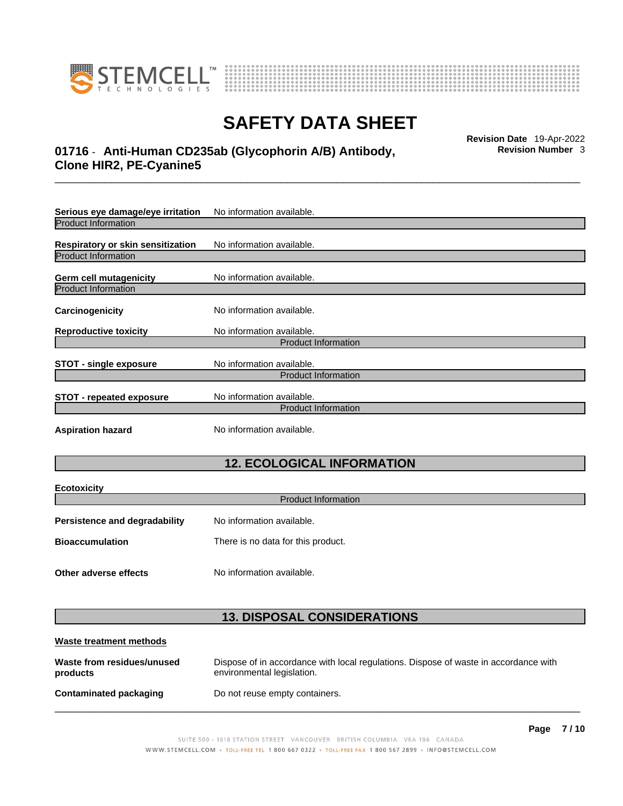



# \_\_\_\_\_\_\_\_\_\_\_\_\_\_\_\_\_\_\_\_\_\_\_\_\_\_\_\_\_\_\_\_\_\_\_\_\_\_\_\_\_\_\_\_\_\_\_\_\_\_\_\_\_\_\_\_\_\_\_\_\_\_\_\_\_\_\_\_\_\_\_\_\_\_\_\_\_\_\_\_\_\_\_\_\_\_\_\_\_\_\_\_\_ **Revision Date** 19-Apr-2022 **01716** - **Anti-Human CD235ab (Glycophorin A/B) Antibody, Clone HIR2, PE-Cyanine5**

**Serious eye damage/eye irritation** No information available. Product Information **Respiratory or skin sensitization** No information available. Product Information **Germ cell mutagenicity** No information available. Product Information **Carcinogenicity** No information available. **Reproductive toxicity** No information available. Product Information **STOT** - single exposure<br>
No information available. Product Information **STOT** - **repeated exposure** No information available. Product Information **Aspiration hazard** No information available.

### **12. ECOLOGICAL INFORMATION**

| <b>Ecotoxicity</b>            |                                    |  |
|-------------------------------|------------------------------------|--|
| <b>Product Information</b>    |                                    |  |
| Persistence and degradability | No information available.          |  |
| <b>Bioaccumulation</b>        | There is no data for this product. |  |
|                               |                                    |  |
| Other adverse effects         | No information available.          |  |

### **13. DISPOSAL CONSIDERATIONS**

| Waste treatment methods                |                                                                                                                    |
|----------------------------------------|--------------------------------------------------------------------------------------------------------------------|
| Waste from residues/unused<br>products | Dispose of in accordance with local regulations. Dispose of waste in accordance with<br>environmental legislation. |
| Contaminated packaging                 | Do not reuse empty containers.                                                                                     |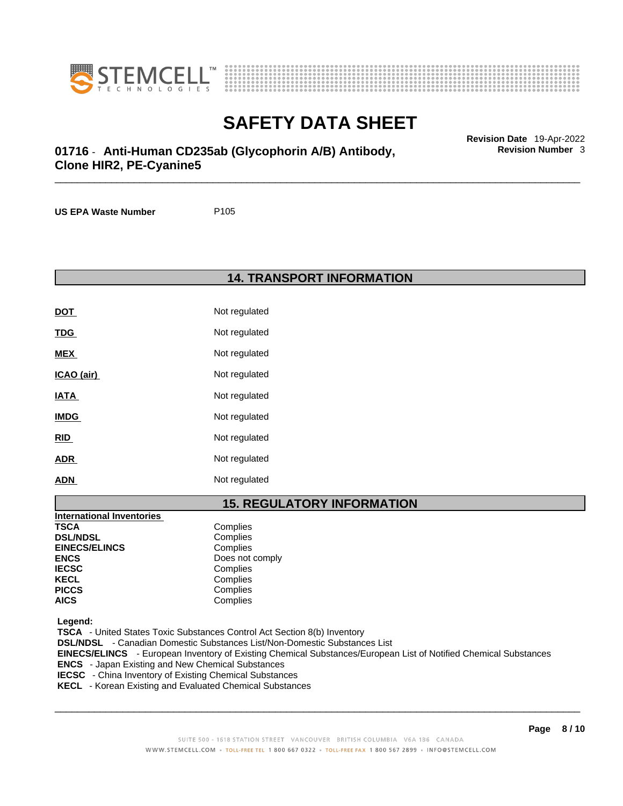



# \_\_\_\_\_\_\_\_\_\_\_\_\_\_\_\_\_\_\_\_\_\_\_\_\_\_\_\_\_\_\_\_\_\_\_\_\_\_\_\_\_\_\_\_\_\_\_\_\_\_\_\_\_\_\_\_\_\_\_\_\_\_\_\_\_\_\_\_\_\_\_\_\_\_\_\_\_\_\_\_\_\_\_\_\_\_\_\_\_\_\_\_\_ **Revision Date** 19-Apr-2022 **01716** - **Anti-Human CD235ab (Glycophorin A/B) Antibody, Clone HIR2, PE-Cyanine5**

**US EPA Waste Number** P105

**14. TRANSPORT INFORMATION** 

| <b>DOT</b>  | Not regulated |
|-------------|---------------|
| <u>TDG</u>  | Not regulated |
| <b>MEX</b>  | Not regulated |
| ICAO (air)  | Not regulated |
| <u>IATA</u> | Not regulated |
| <b>IMDG</b> | Not regulated |
| <u>RID</u>  | Not regulated |
| <b>ADR</b>  | Not regulated |
| <b>ADN</b>  | Not regulated |

### **15. REGULATORY INFORMATION**

| International Inventories |                 |
|---------------------------|-----------------|
| <b>TSCA</b>               | Complies        |
| <b>DSL/NDSL</b>           | Complies        |
| <b>EINECS/ELINCS</b>      | Complies        |
| <b>ENCS</b>               | Does not comply |
| <b>IECSC</b>              | Complies        |
| <b>KECL</b>               | Complies        |
| <b>PICCS</b>              | Complies        |
| <b>AICS</b>               | Complies        |

 **Legend:** 

 **TSCA** - United States Toxic Substances Control Act Section 8(b) Inventory  **DSL/NDSL** - Canadian Domestic Substances List/Non-Domestic Substances List  **EINECS/ELINCS** - European Inventory of Existing Chemical Substances/European List of Notified Chemical Substances  **ENCS** - Japan Existing and New Chemical Substances  **IECSC** - China Inventory of Existing Chemical Substances  **KECL** - Korean Existing and Evaluated Chemical Substances

 $\_$  ,  $\_$  ,  $\_$  ,  $\_$  ,  $\_$  ,  $\_$  ,  $\_$  ,  $\_$  ,  $\_$  ,  $\_$  ,  $\_$  ,  $\_$  ,  $\_$  ,  $\_$  ,  $\_$  ,  $\_$  ,  $\_$  ,  $\_$  ,  $\_$  ,  $\_$  ,  $\_$  ,  $\_$  ,  $\_$  ,  $\_$  ,  $\_$  ,  $\_$  ,  $\_$  ,  $\_$  ,  $\_$  ,  $\_$  ,  $\_$  ,  $\_$  ,  $\_$  ,  $\_$  ,  $\_$  ,  $\_$  ,  $\_$  ,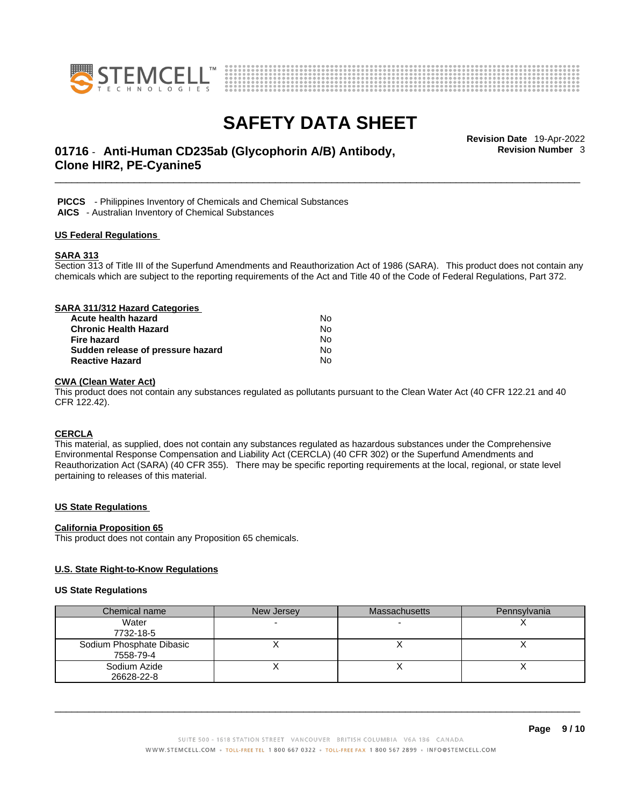



# \_\_\_\_\_\_\_\_\_\_\_\_\_\_\_\_\_\_\_\_\_\_\_\_\_\_\_\_\_\_\_\_\_\_\_\_\_\_\_\_\_\_\_\_\_\_\_\_\_\_\_\_\_\_\_\_\_\_\_\_\_\_\_\_\_\_\_\_\_\_\_\_\_\_\_\_\_\_\_\_\_\_\_\_\_\_\_\_\_\_\_\_\_ **Revision Date** 19-Apr-2022 **01716** - **Anti-Human CD235ab (Glycophorin A/B) Antibody, Clone HIR2, PE-Cyanine5**

**Revision Number** 3

 **PICCS** - Philippines Inventory of Chemicals and Chemical Substances

 **AICS** - Australian Inventory of Chemical Substances

#### **US Federal Regulations**

#### **SARA 313**

Section 313 of Title III of the Superfund Amendments and Reauthorization Act of 1986 (SARA). This product does not contain any chemicals which are subject to the reporting requirements of the Act and Title 40 of the Code of Federal Regulations, Part 372.

| SARA 311/312 Hazard Categories    |    |  |
|-----------------------------------|----|--|
| Acute health hazard               | No |  |
| <b>Chronic Health Hazard</b>      | No |  |
| Fire hazard                       | No |  |
| Sudden release of pressure hazard | No |  |
| <b>Reactive Hazard</b>            | No |  |

#### **CWA** (Clean Water Act)

This product does not contain any substances regulated as pollutants pursuant to the Clean Water Act (40 CFR 122.21 and 40 CFR 122.42).

#### **CERCLA**

This material, as supplied, does not contain any substances regulated as hazardous substances under the Comprehensive Environmental Response Compensation and Liability Act (CERCLA) (40 CFR 302) or the Superfund Amendments and Reauthorization Act (SARA) (40 CFR 355). There may be specific reporting requirements at the local, regional, or state level pertaining to releases of this material.

#### **US State Regulations**

#### **California Proposition 65**

This product does not contain any Proposition 65 chemicals.

#### **U.S. State Right-to-Know Regulations**

#### **US State Regulations**

| Chemical name            | New Jersey | <b>Massachusetts</b> | Pennsylvania |
|--------------------------|------------|----------------------|--------------|
| Water                    |            |                      |              |
| 7732-18-5                |            |                      |              |
| Sodium Phosphate Dibasic |            |                      |              |
| 7558-79-4                |            |                      |              |
| Sodium Azide             |            |                      |              |
| 26628-22-8               |            |                      |              |